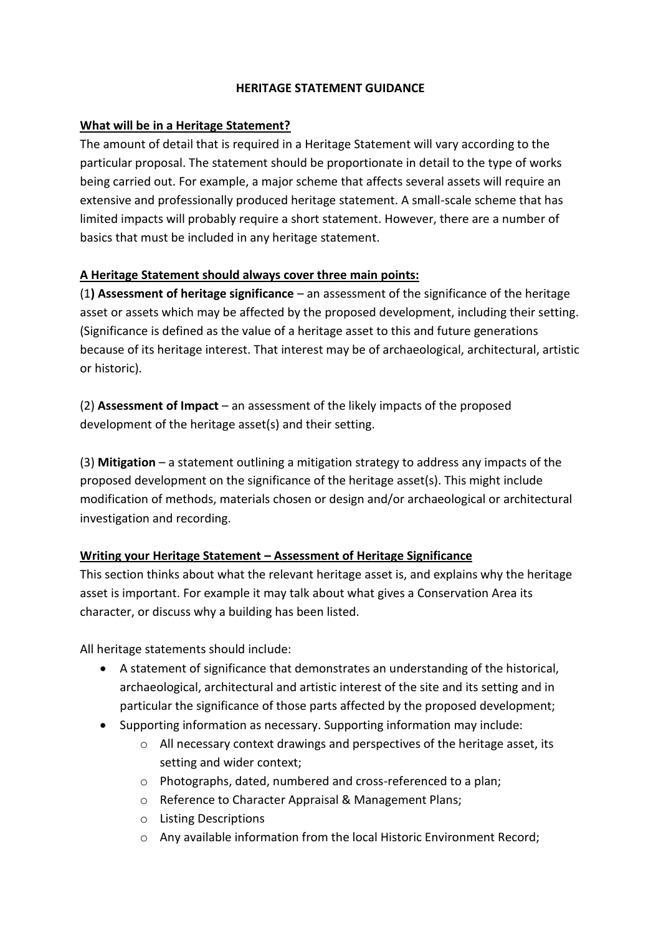#### **HERITAGE STATEMENT GUIDANCE**

### **What will be in a Heritage Statement?**

The amount of detail that is required in a Heritage Statement will vary according to the particular proposal. The statement should be proportionate in detail to the type of works being carried out. For example, a major scheme that affects several assets will require an extensive and professionally produced heritage statement. A small-scale scheme that has limited impacts will probably require a short statement. However, there are a number of basics that must be included in any heritage statement.

## **A Heritage Statement should always cover three main points:**

(1**) Assessment of heritage significance** – an assessment of the significance of the heritage asset or assets which may be affected by the proposed development, including their setting. (Significance is defined as the value of a heritage asset to this and future generations because of its heritage interest. That interest may be of archaeological, architectural, artistic or historic).

(2) **Assessment of Impact** – an assessment of the likely impacts of the proposed development of the heritage asset(s) and their setting.

(3) **Mitigation** – a statement outlining a mitigation strategy to address any impacts of the proposed development on the significance of the heritage asset(s). This might include modification of methods, materials chosen or design and/or archaeological or architectural investigation and recording.

### **Writing your Heritage Statement – Assessment of Heritage Significance**

This section thinks about what the relevant heritage asset is, and explains why the heritage asset is important. For example it may talk about what gives a Conservation Area its character, or discuss why a building has been listed.

All heritage statements should include:

- A statement of significance that demonstrates an understanding of the historical, archaeological, architectural and artistic interest of the site and its setting and in particular the significance of those parts affected by the proposed development;
- Supporting information as necessary. Supporting information may include:
	- o All necessary context drawings and perspectives of the heritage asset, its setting and wider context;
	- o Photographs, dated, numbered and cross-referenced to a plan;
	- o Reference to Character Appraisal & Management Plans;
	- o Listing Descriptions
	- o Any available information from the local Historic Environment Record;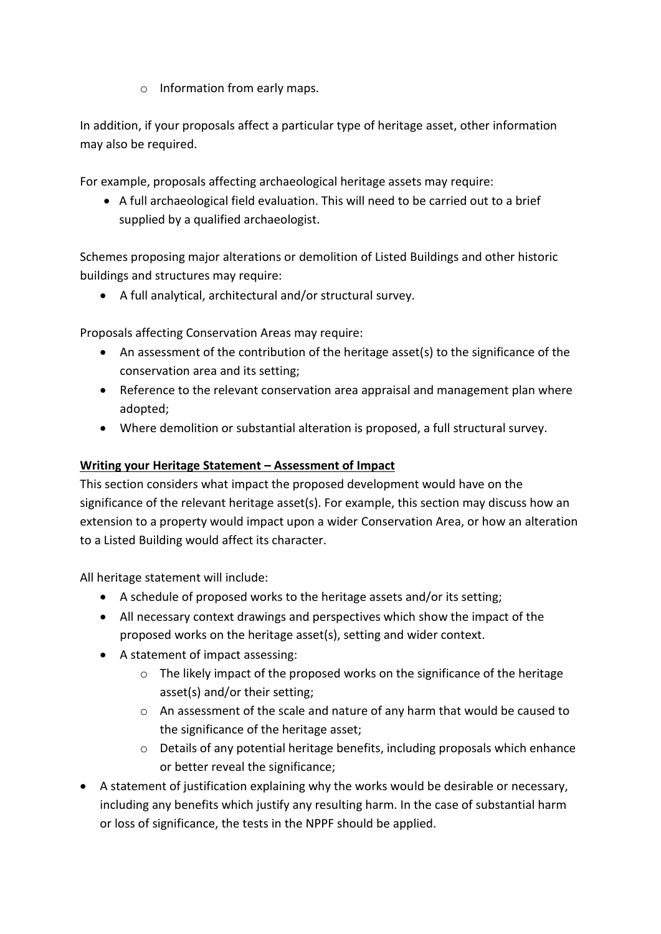o Information from early maps.

In addition, if your proposals affect a particular type of heritage asset, other information may also be required.

For example, proposals affecting archaeological heritage assets may require:

 A full archaeological field evaluation. This will need to be carried out to a brief supplied by a qualified archaeologist.

Schemes proposing major alterations or demolition of Listed Buildings and other historic buildings and structures may require:

A full analytical, architectural and/or structural survey.

Proposals affecting Conservation Areas may require:

- An assessment of the contribution of the heritage asset(s) to the significance of the conservation area and its setting;
- Reference to the relevant conservation area appraisal and management plan where adopted;
- Where demolition or substantial alteration is proposed, a full structural survey.

#### **Writing your Heritage Statement – Assessment of Impact**

This section considers what impact the proposed development would have on the significance of the relevant heritage asset(s). For example, this section may discuss how an extension to a property would impact upon a wider Conservation Area, or how an alteration to a Listed Building would affect its character.

All heritage statement will include:

- A schedule of proposed works to the heritage assets and/or its setting;
- All necessary context drawings and perspectives which show the impact of the proposed works on the heritage asset(s), setting and wider context.
- A statement of impact assessing:
	- $\circ$  The likely impact of the proposed works on the significance of the heritage asset(s) and/or their setting;
	- o An assessment of the scale and nature of any harm that would be caused to the significance of the heritage asset;
	- o Details of any potential heritage benefits, including proposals which enhance or better reveal the significance;
- A statement of justification explaining why the works would be desirable or necessary, including any benefits which justify any resulting harm. In the case of substantial harm or loss of significance, the tests in the NPPF should be applied.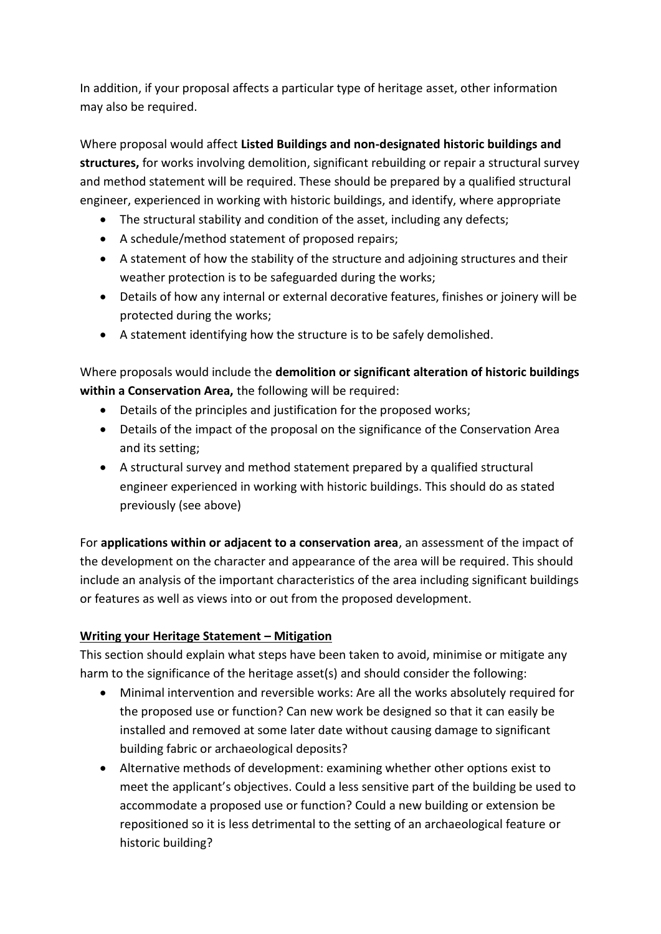In addition, if your proposal affects a particular type of heritage asset, other information may also be required.

Where proposal would affect **Listed Buildings and non-designated historic buildings and structures,** for works involving demolition, significant rebuilding or repair a structural survey and method statement will be required. These should be prepared by a qualified structural engineer, experienced in working with historic buildings, and identify, where appropriate

- The structural stability and condition of the asset, including any defects;
- A schedule/method statement of proposed repairs;
- A statement of how the stability of the structure and adjoining structures and their weather protection is to be safeguarded during the works;
- Details of how any internal or external decorative features, finishes or joinery will be protected during the works;
- A statement identifying how the structure is to be safely demolished.

Where proposals would include the **demolition or significant alteration of historic buildings within a Conservation Area,** the following will be required:

- Details of the principles and justification for the proposed works;
- Details of the impact of the proposal on the significance of the Conservation Area and its setting;
- A structural survey and method statement prepared by a qualified structural engineer experienced in working with historic buildings. This should do as stated previously (see above)

For **applications within or adjacent to a conservation area**, an assessment of the impact of the development on the character and appearance of the area will be required. This should include an analysis of the important characteristics of the area including significant buildings or features as well as views into or out from the proposed development.

# **Writing your Heritage Statement – Mitigation**

This section should explain what steps have been taken to avoid, minimise or mitigate any harm to the significance of the heritage asset(s) and should consider the following:

- Minimal intervention and reversible works: Are all the works absolutely required for the proposed use or function? Can new work be designed so that it can easily be installed and removed at some later date without causing damage to significant building fabric or archaeological deposits?
- Alternative methods of development: examining whether other options exist to meet the applicant's objectives. Could a less sensitive part of the building be used to accommodate a proposed use or function? Could a new building or extension be repositioned so it is less detrimental to the setting of an archaeological feature or historic building?